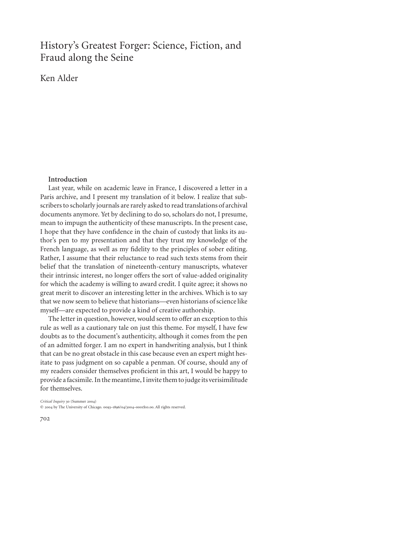# History's Greatest Forger: Science, Fiction, and Fraud along the Seine

## Ken Alder

#### **Introduction**

Last year, while on academic leave in France, I discovered a letter in a Paris archive, and I present my translation of it below. I realize that subscribers to scholarly journals are rarely asked to read translations of archival documents anymore. Yet by declining to do so, scholars do not, I presume, mean to impugn the authenticity of these manuscripts. In the present case, I hope that they have confidence in the chain of custody that links its author's pen to my presentation and that they trust my knowledge of the French language, as well as my fidelity to the principles of sober editing. Rather, I assume that their reluctance to read such texts stems from their belief that the translation of nineteenth-century manuscripts, whatever their intrinsic interest, no longer offers the sort of value-added originality for which the academy is willing to award credit. I quite agree; it shows no great merit to discover an interesting letter in the archives. Which is to say that we now seem to believe that historians—even historians of science like myself—are expected to provide a kind of creative authorship.

The letter in question, however, would seem to offer an exception to this rule as well as a cautionary tale on just this theme. For myself, I have few doubts as to the document's authenticity, although it comes from the pen of an admitted forger. I am no expert in handwriting analysis, but I think that can be no great obstacle in this case because even an expert might hesitate to pass judgment on so capable a penman. Of course, should any of my readers consider themselves proficient in this art, I would be happy to provide a facsimile. In the meantime, I invite them to judge its verisimilitude for themselves.

*Critical Inquiry* 30 (Summer 2004)

2004 by The University of Chicago. 0093–1896/04/3004–0001\$10.00. All rights reserved.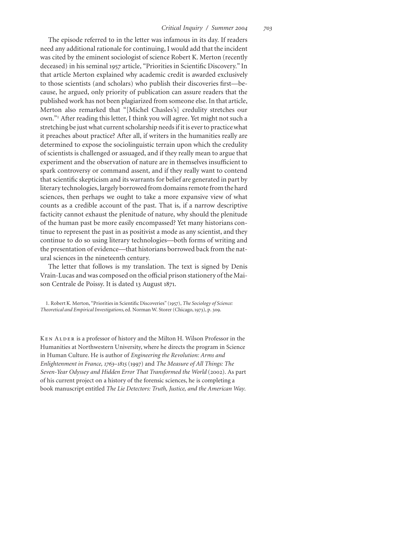The episode referred to in the letter was infamous in its day. If readers need any additional rationale for continuing, I would add that the incident was cited by the eminent sociologist of science Robert K. Merton (recently deceased) in his seminal 1957 article, "Priorities in Scientific Discovery." In that article Merton explained why academic credit is awarded exclusively to those scientists (and scholars) who publish their discoveries first—because, he argued, only priority of publication can assure readers that the published work has not been plagiarized from someone else. In that article, Merton also remarked that "[Michel Chasles's] credulity stretches our own."<sup>1</sup> After reading this letter, I think you will agree. Yet might not such a stretching be just what current scholarship needs if it is ever to practicewhat it preaches about practice? After all, if writers in the humanities really are determined to expose the sociolinguistic terrain upon which the credulity of scientists is challenged or assuaged, and if they really mean to argue that experiment and the observation of nature are in themselves insufficient to spark controversy or command assent, and if they really want to contend that scientific skepticism and its warrants for belief are generated in part by literary technologies, largely borrowed from domains remote from the hard sciences, then perhaps we ought to take a more expansive view of what counts as a credible account of the past. That is, if a narrow descriptive facticity cannot exhaust the plenitude of nature, why should the plenitude of the human past be more easily encompassed? Yet many historians continue to represent the past in as positivist a mode as any scientist, and they continue to do so using literary technologies—both forms of writing and the presentation of evidence—that historians borrowed back from the natural sciences in the nineteenth century.

The letter that follows is my translation. The text is signed by Denis Vrain-Lucas and was composed on the official prison stationery of theMaison Centrale de Poissy. It is dated 13 August 1871.

1. Robert K. Merton, "Priorities in Scientific Discoveries" (1957), *The Sociology of Science: Theoretical and Empirical Investigations,* ed. Norman W. Storer (Chicago, 1973), p. 309.

KEN ALDER is a professor of history and the Milton H. Wilson Professor in the Humanities at Northwestern University, where he directs the program in Science in Human Culture. He is author of *Engineering the Revolution: Armsand Enlightenment in France, 1763*–*1815* (1997) and *The Measure of All Things: The Seven-Year Odyssey and Hidden Error That Transformed the World* (2002). As part of his current project on a history of the forensic sciences, he is completing a book manuscript entitled *The Lie Detectors: Truth, Justice, and the American Way*.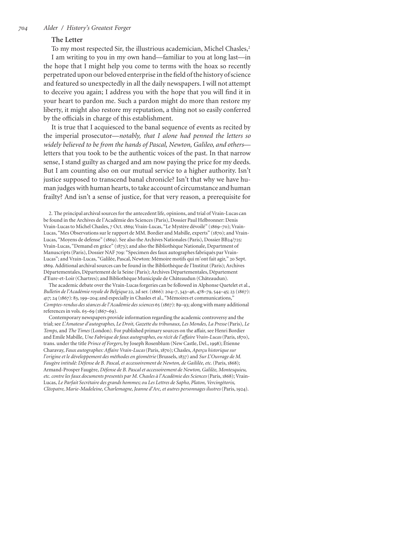#### **The Letter**

To my most respected Sir, the illustrious academician, Michel Chasles,<sup>2</sup> I am writing to you in my own hand—familiar to you at long last—in the hope that I might help you come to terms with the hoax so recently perpetrated upon our beloved enterprise in the field of the history of science and featured so unexpectedly in all the daily newspapers. I will not attempt to deceive you again; I address you with the hope that you will find it in your heart to pardon me. Such a pardon might do more than restore my liberty, it might also restore my reputation, a thing not so easily conferred by the officials in charge of this establishment.

It is true that I acquiesced to the banal sequence of events as recited by the imperial prosecutor—*notably, that I alone had penned the letters so widely believed to be from the handsof Pascal, Newton, Galileo, and others* letters that you took to be the authentic voices of the past. In that narrow sense, I stand guilty as charged and am now paying the price for my deeds. But I am counting also on our mutual service to a higher authority. Isn't justice supposed to transcend banal chronicle? Isn't that why we have human judges with human hearts, to take account of circumstance and human frailty? And isn't a sense of justice, for that very reason, a prerequisite for

2. The principal archival sources for the antecedent life, opinions, and trial of Vrain-Lucas can be found in the Archives de l'Académie des Sciences (Paris), Dossier Paul Helbronner: Denis Vrain-Lucas to Michel Chasles, 7 Oct. 1869; Vrain-Lucas, "Le Mystère dévoilé" (1869–70); Vrain-Lucas, "Mes Observations sur le rapport de MM. Bordier and Mabille, experts" (1870); and Vrain-Lucas, "Moyens de defense" (1869). See also the Archives Nationales (Paris), Dossier BB24/725: Vrain-Lucas, "Demand en grâce" (1873); and also the Bibliothèque Nationale, Department of Manuscripts (Paris), Dossier NAF 709: "Specimen des faux autographes fabriqués par Vrain-Lucas"; and Vrain-Lucas, "Galilée, Pascal, Newton: Mémoire motifs qui m'ont fait agir," 20 Sept. 1869. Additional archival sources can be found in the Bibliothèque de l'Institut (Paris); Archives Départementales, Département de la Seine (Paris); Archives Départementales, Département d'Eure-et-Loir (Chartres); and Bibliothèque Municipale de Châteaudun (Châteaudun).

The academic debate over the Vrain-Lucas forgeries can be followed in Alphonse Quetelet et al., *Bulletin de l'Acade´mie royale de Belgique* 22, 2d ser. (1866): 204–7, 343–46, 478–79, 544–45; 23 (1867): 417; 24 (1867): 83, 199-204; and especially in Chasles et al., "Mémoires et communications," Comptes-rendus des séances de l'Académie des sciences 65 (1867): 89–93; along with many additional references in vols. 65–69 (1867–69).

Contemporary newspapers provide information regarding the academic controversy and the trial; see *L'Amateur d'autographes, Le Droit, Gazette du tribunaux, Les Mondes, La Presse*(Paris), *Le Temps,* and *The Times* (London). For published primary sources on the affair, see Henri Bordier and Emile Mabille, *Une Fabrique de faux autographes, ou récit de l'affaire Vrain-Lucas* (Paris, 1870), trans. under the title Prince of Forgers, by Joseph Rosenblum (New Castle, Del., 1998); Étienne Charavay, *Faux autographes: Affaire Vrain-Lucas* (Paris, 1870); Chasles, *Aperçu historique sur l'origine et le développement des méthodes en géométrie* (Brussels, 1837) and *Sur L'Ouvrage de M.* Faugère intitulé: Défense de B. Pascal, et accessoirement de Newton, de Gaililée, etc. (Paris, 1868); Armand-Prosper Faugère, *Défense de B. Pascal et accessoirement de Newton, Galilée, Montesquieu,* etc. contre les faux documents presentés par M. Chasles à l'Académie des Sciences (Paris, 1868); Vrain-Lucas, *Le Parfait Secrétaire des grands hommes; ou Les Lettres de Sapho, Platon, Vercingétorix, Cle´opatre, Marie-Madeleine, Charlemagne, Jeanne d'Arc, et autres personnages ilustres*(Paris, 1924).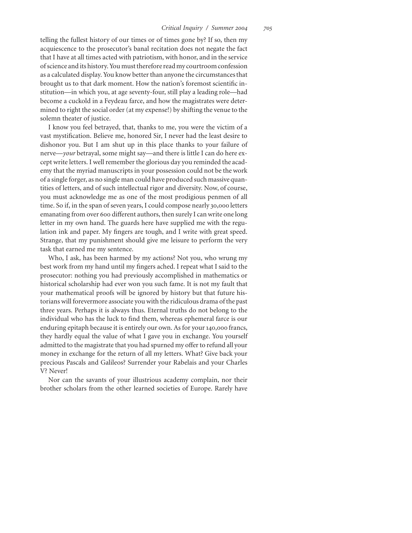telling the fullest history of our times or of times gone by? If so, then my acquiescence to the prosecutor's banal recitation does not negate the fact that I have at all times acted with patriotism, with honor, and in the service of science and its history. You must therefore readmy courtroom confession as a calculated display. You know better than anyone the circumstances that brought us to that dark moment. How the nation's foremost scientific institution—in which you, at age seventy-four, still play a leading role—had become a cuckold in a Feydeau farce, and how the magistrates were determined to right the social order (at my expense!) by shifting the venue to the solemn theater of justice.

I know you feel betrayed, that, thanks to me, you were the victim of a vast mystification. Believe me, honored Sir, I never had the least desire to dishonor you. But I am shut up in this place thanks to your failure of nerve—*your* betrayal, some might say—and there is little I can do here except write letters. I well remember the glorious day you reminded the academy that the myriad manuscripts in your possession could not be the work of a single forger, as no single man could have produced such massive quantities of letters, and of such intellectual rigor and diversity. Now, of course, you must acknowledge me as one of the most prodigious penmen of all time. So if, in the span of seven years, I could compose nearly 30,000 letters emanating from over 600 different authors, then surely I can write one long letter in my own hand. The guards here have supplied me with the regulation ink and paper. My fingers are tough, and I write with great speed. Strange, that my punishment should give me leisure to perform the very task that earned me my sentence.

Who, I ask, has been harmed by my actions? Not you, who wrung my best work from my hand until my fingers ached. I repeat what I said to the prosecutor: nothing you had previously accomplished in mathematics or historical scholarship had ever won you such fame. It is not my fault that your mathematical proofs will be ignored by history but that future historians will forevermore associate you with the ridiculous drama of the past three years. Perhaps it is always thus. Eternal truths do not belong to the individual who has the luck to find them, whereas ephemeral farce is our enduring epitaph because it is entirely our own. As for your 140,000 francs, they hardly equal the value of what I gave you in exchange. You yourself admitted to the magistrate that you had spurned my offer to refund all your money in exchange for the return of all my letters. What? Give back your precious Pascals and Galileos? Surrender your Rabelais and your Charles V? Never!

Nor can the savants of your illustrious academy complain, nor their brother scholars from the other learned societies of Europe. Rarely have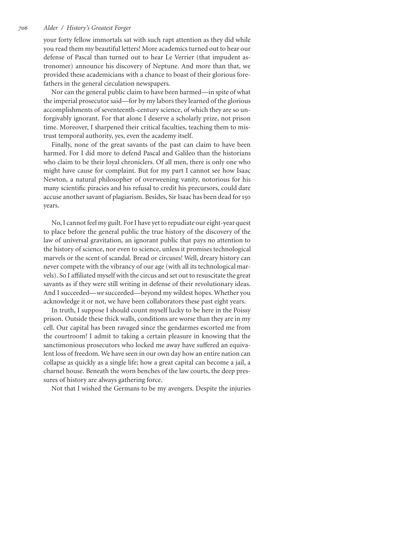your forty fellow immortals sat with such rapt attention as they did while you read them my beautiful letters! More academics turned out to hear our defense of Pascal than turned out to hear Le Verrier (that impudent astronomer) announce his discovery of Neptune. And more than that, we provided these academicians with a chance to boast of their glorious forefathers in the general circulation newspapers.

Nor can the general public claim to have been harmed—in spite of what the imperial prosecutor said—for by my labors they learned of the glorious accomplishments of seventeenth-century science, of which they are so unforgivably ignorant. For that alone I deserve a scholarly prize, not prison time. Moreover, I sharpened their critical faculties, teaching them to mistrust temporal authority, yes, even the academy itself.

Finally, none of the great savants of the past can claim to have been harmed. For I did more to defend Pascal and Galileo than the historians who claim to be their loyal chroniclers. Of all men, there is only one who might have cause for complaint. But for my part I cannot see how Isaac Newton, a natural philosopher of overweening vanity, notorious for his many scientific piracies and his refusal to credit his precursors, could dare accuse another savant of plagiarism. Besides, Sir Isaac has been dead for 150 years.

No, I cannot feel my guilt. For I have yet to repudiate our eight-year quest to place before the general public the true history of the discovery of the law of universal gravitation, an ignorant public that pays no attention to the history of science, nor even to science, unless it promises technological marvels or the scent of scandal. Bread or circuses! Well, dreary history can never compete with the vibrancy of our age (with all its technological marvels). So I affiliated myself with the circus and set out to resuscitate the great savants as if they were still writing in defense of their revolutionary ideas. And I succeeded—*we* succeeded—beyond my wildest hopes. Whether you acknowledge it or not, we have been collaborators these past eight years.

In truth, I suppose I should count myself lucky to be here in the Poissy prison. Outside these thick walls, conditions are worse than they are in my cell. Our capital has been ravaged since the gendarmes escorted me from the courtroom! I admit to taking a certain pleasure in knowing that the sanctimonious prosecutors who locked me away have suffered an equivalent loss of freedom. We have seen in our own day how an entire nation can collapse as quickly as a single life; how a great capital can become a jail, a charnel house. Beneath the worn benches of the law courts, the deep pressures of history are always gathering force.

Not that I wished the Germans to be my avengers. Despite the injuries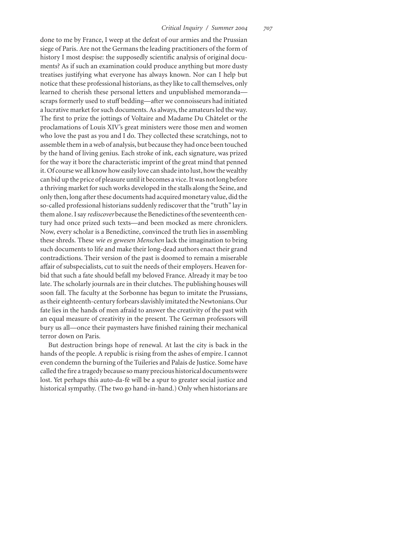done to me by France, I weep at the defeat of our armies and the Prussian siege of Paris. Are not the Germans the leading practitioners of the form of history I most despise: the supposedly scientific analysis of original documents? As if such an examination could produce anything but more dusty treatises justifying what everyone has always known. Nor can I help but notice that these professional historians, as they like to call themselves, only learned to cherish these personal letters and unpublished memoranda scraps formerly used to stuff bedding—after we connoisseurs had initiated a lucrative market for such documents. As always, the amateurs led the way. The first to prize the jottings of Voltaire and Madame Du Châtelet or the proclamations of Louis XIV's great ministers were those men and women who love the past as you and I do. They collected these scratchings, not to assemble them in a web of analysis, but because they had once been touched by the hand of living genius. Each stroke of ink, each signature, was prized for the way it bore the characteristic imprint of the great mind that penned it. Of course we all know how easily love can shade into lust, how thewealthy can bid up the price of pleasure until it becomes a vice. It was not long before a thriving market for such works developed in the stalls along the Seine, and only then, long after these documents had acquired monetary value, did the so-called professional historians suddenly rediscover that the "truth" lay in them alone. I say *rediscover* because the Benedictines of the seventeenth century had once prized such texts—and been mocked as mere chroniclers. Now, every scholar is a Benedictine, convinced the truth lies in assembling these shreds. These *wie es gewesen Menschen* lack the imagination to bring such documents to life and make their long-dead authors enact their grand contradictions. Their version of the past is doomed to remain a miserable affair of subspecialists, cut to suit the needs of their employers. Heaven forbid that such a fate should befall my beloved France. Already it may be too late. The scholarly journals are in their clutches. The publishing houses will soon fall. The faculty at the Sorbonne has begun to imitate the Prussians, as their eighteenth-century forbears slavishly imitated the Newtonians.Our fate lies in the hands of men afraid to answer the creativity of the past with an equal measure of creativity in the present. The German professors will bury us all—once their paymasters have finished raining their mechanical terror down on Paris.

But destruction brings hope of renewal. At last the city is back in the hands of the people. A republic is rising from the ashes of empire. I cannot even condemn the burning of the Tuileries and Palais de Justice. Some have called the fire a tragedy because so many precious historical documentswere lost. Yet perhaps this auto-da-fé will be a spur to greater social justice and historical sympathy. (The two go hand-in-hand.) Only when historians are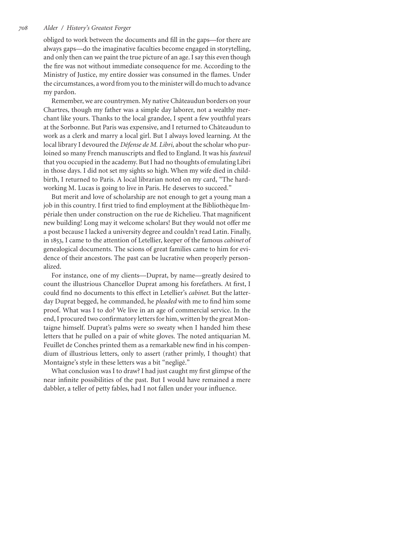obliged to work between the documents and fill in the gaps—for there are always gaps—do the imaginative faculties become engaged in storytelling, and only then can we paint the true picture of an age. I say this even though the fire was not without immediate consequence for me. According to the Ministry of Justice, my entire dossier was consumed in the flames. Under the circumstances, a word from you to the minister will do much to advance my pardon.

Remember, we are countrymen. My native Châteaudun borders on your Chartres, though my father was a simple day laborer, not a wealthy merchant like yours. Thanks to the local grandee, I spent a few youthful years at the Sorbonne. But Paris was expensive, and I returned to Châteaudun to work as a clerk and marry a local girl. But I always loved learning. At the local library I devoured the *Défense de M. Libri*, about the scholar who purloined so many French manuscripts and fled to England. It was his *fauteuil* that you occupied in the academy. But I had no thoughts of emulating Libri in those days. I did not set my sights so high. When my wife died in childbirth, I returned to Paris. A local librarian noted on my card, "The hardworking M. Lucas is going to live in Paris. He deserves to succeed."

But merit and love of scholarship are not enough to get a young man a job in this country. I first tried to find employment at the Bibliothèque Impériale then under construction on the rue de Richelieu. That magnificent new building! Long may it welcome scholars! But they would not offer me a post because I lacked a university degree and couldn't read Latin. Finally, in 1853, I came to the attention of Letellier, keeper of the famous *cabinet* of genealogical documents. The scions of great families came to him for evidence of their ancestors. The past can be lucrative when properly personalized.

For instance, one of my clients—Duprat, by name—greatly desired to count the illustrious Chancellor Duprat among his forefathers. At first, I could find no documents to this effect in Letellier's *cabinet*. But the latterday Duprat begged, he commanded, he *pleaded* with me to find him some proof. What was I to do? We live in an age of commercial service. In the end, I procured two confirmatory letters for him, written by the great Montaigne himself. Duprat's palms were so sweaty when I handed him these letters that he pulled on a pair of white gloves. The noted antiquarian M. Feuillet de Conches printed them as a remarkable new find in his compendium of illustrious letters, only to assert (rather primly, I thought) that Montaigne's style in these letters was a bit "negligé."

What conclusion was I to draw? I had just caught my first glimpse of the near infinite possibilities of the past. But I would have remained a mere dabbler, a teller of petty fables, had I not fallen under your influence.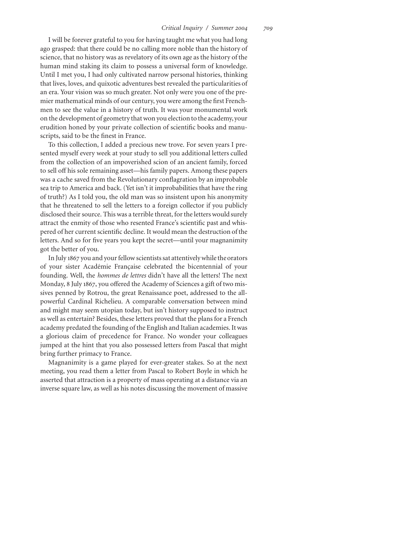I will be forever grateful to you for having taught me what you had long ago grasped: that there could be no calling more noble than the history of science, that no history was as revelatory of its own age as the history of the human mind staking its claim to possess a universal form of knowledge. Until I met you, I had only cultivated narrow personal histories, thinking that lives, loves, and quixotic adventures best revealed the particularities of an era. Your vision was so much greater. Not only were you one of the premier mathematical minds of our century, you were among the first Frenchmen to see the value in a history of truth. It was your monumental work on the development of geometry that won you election to the academy, your erudition honed by your private collection of scientific books and manuscripts, said to be the finest in France.

To this collection, I added a precious new trove. For seven years I presented myself every week at your study to sell you additional letters culled from the collection of an impoverished scion of an ancient family, forced to sell off his sole remaining asset—his family papers. Among these papers was a cache saved from the Revolutionary conflagration by an improbable sea trip to America and back. (Yet isn't it improbabilities that have the ring of truth?) As I told you, the old man was so insistent upon his anonymity that he threatened to sell the letters to a foreign collector if you publicly disclosed their source. This was a terrible threat, for the letters would surely attract the enmity of those who resented France's scientific past and whispered of her current scientific decline. It would mean the destruction of the letters. And so for five years you kept the secret—until your magnanimity got the better of you.

In July 1867 you and your fellow scientists sat attentively while the orators of your sister Académie Française celebrated the bicentennial of your founding. Well, the *hommes de lettres* didn't have all the letters! The next Monday, 8July 1867, you offered the Academy of Sciences a gift of two missives penned by Rotrou, the great Renaissance poet, addressed to the allpowerful Cardinal Richelieu. A comparable conversation between mind and might may seem utopian today, but isn't history supposed to instruct as well as entertain? Besides, these letters proved that the plans for a French academy predated the founding of the English and Italian academies. It was a glorious claim of precedence for France. No wonder your colleagues jumped at the hint that you also possessed letters from Pascal that might bring further primacy to France.

Magnanimity is a game played for ever-greater stakes. So at the next meeting, you read them a letter from Pascal to Robert Boyle in which he asserted that attraction is a property of mass operating at a distance via an inverse square law, as well as his notes discussing the movement of massive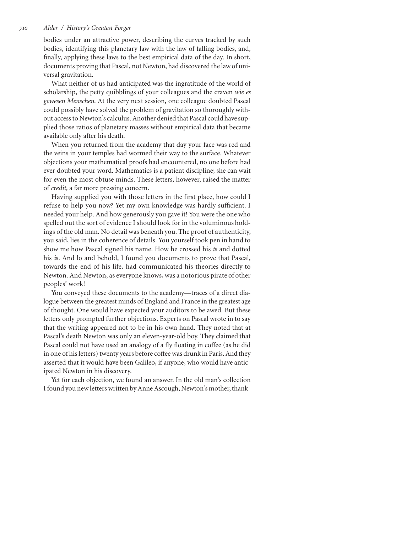bodies under an attractive power, describing the curves tracked by such bodies, identifying this planetary law with the law of falling bodies, and, finally, applying these laws to the best empirical data of the day. In short, documents proving that Pascal, not Newton, had discovered the law of universal gravitation.

What neither of us had anticipated was the ingratitude of the world of scholarship, the petty quibblings of your colleagues and the craven *wie es gewesen Menschen*. At the very next session, one colleague doubted Pascal could possibly have solved the problem of gravitation so thoroughly without access to Newton's calculus. Another denied that Pascal could have supplied those ratios of planetary masses without empirical data that became available only after his death.

When you returned from the academy that day your face was red and the veins in your temples had wormed their way to the surface. Whatever objections your mathematical proofs had encountered, no one before had ever doubted your word. Mathematics is a patient discipline; she can wait for even the most obtuse minds. These letters, however, raised the matter of *credit,* a far more pressing concern.

Having supplied you with those letters in the first place, how could I refuse to help you now? Yet my own knowledge was hardly sufficient. I needed your help. And how generously you gave it! You were the one who spelled out the sort of evidence I should look for in the voluminous holdings of the old man. No detail was beneath you. The proof of authenticity, you said, lies in the coherence of details. You yourself took pen in hand to show me how Pascal signed his name. How he crossed his *t*s and dotted his *i*s. And lo and behold, I found you documents to prove that Pascal, towards the end of his life, had communicated his theories directly to Newton. And Newton, as everyone knows, was a notorious pirate of other peoples' work!

You conveyed these documents to the academy—traces of a direct dialogue between the greatest minds of England and France in the greatest age of thought. One would have expected your auditors to be awed. But these letters only prompted further objections. Experts on Pascal wrote in to say that the writing appeared not to be in his own hand. They noted that at Pascal's death Newton was only an eleven-year-old boy. They claimed that Pascal could not have used an analogy of a fly floating in coffee (as he did in one of his letters) twenty years before coffee was drunk in Paris. And they asserted that it would have been Galileo, if anyone, who would have anticipated Newton in his discovery.

Yet for each objection, we found an answer. In the old man's collection I found you new letters written by Anne Ascough, Newton's mother, thank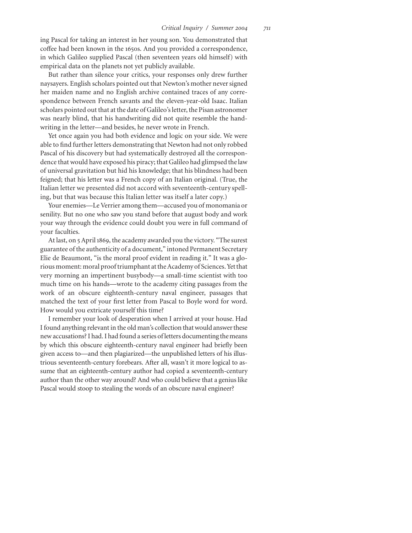ing Pascal for taking an interest in her young son. You demonstrated that coffee had been known in the 1650s. And you provided a correspondence, in which Galileo supplied Pascal (then seventeen years old himself) with empirical data on the planets not yet publicly available.

But rather than silence your critics, your responses only drew further naysayers. English scholars pointed out that Newton's mother never signed her maiden name and no English archive contained traces of any correspondence between French savants and the eleven-year-old Isaac. Italian scholars pointed out that at the date of Galileo's letter, the Pisan astronomer was nearly blind, that his handwriting did not quite resemble the handwriting in the letter—and besides, he never wrote in French.

Yet once again you had both evidence and logic on your side. We were able to find further letters demonstrating that Newton had not only robbed Pascal of his discovery but had systematically destroyed all the correspondence that would have exposed his piracy; that Galileo had glimpsed the law of universal gravitation but hid his knowledge; that his blindness had been feigned; that his letter was a French copy of an Italian original. (True, the Italian letter we presented did not accord with seventeenth-century spelling, but that was because this Italian letter was itself a later copy.)

Your enemies—Le Verrier among them—accused you of monomania or senility. But no one who saw you stand before that august body and work your way through the evidence could doubt you were in full command of your faculties.

At last, on 5 April 1869, the academy awarded you the victory. "The surest guarantee of the authenticity of a document," intoned Permanent Secretary Elie de Beaumont, "is the moral proof evident in reading it." It was a glorious moment: moral proof triumphant at the Academy of Sciences. Yet that very morning an impertinent busybody—a small-time scientist with too much time on his hands—wrote to the academy citing passages from the work of an obscure eighteenth-century naval engineer, passages that matched the text of your first letter from Pascal to Boyle word for word. How would you extricate yourself this time?

I remember your look of desperation when I arrived at your house. Had I found anything relevant in the old man's collection that would answer these new accusations? I had. I had found a series of letters documenting themeans by which this obscure eighteenth-century naval engineer had briefly been given access to—and then plagiarized—the unpublished letters of his illustrious seventeenth-century forebears. After all, wasn't it more logical to assume that an eighteenth-century author had copied a seventeenth-century author than the other way around? And who could believe that a genius like Pascal would stoop to stealing the words of an obscure naval engineer?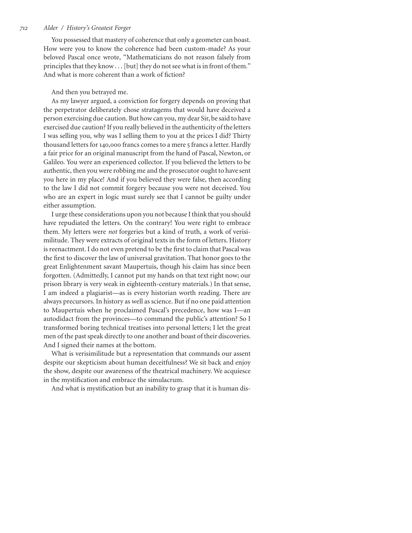You possessed that mastery of coherence that only a geometer can boast. How were you to know the coherence had been custom-made? As your beloved Pascal once wrote, "Mathematicians do not reason falsely from principles that they know . . . [but] they do not see what is in front of them." And what is more coherent than a work of fiction?

#### And then you betrayed me.

As my lawyer argued, a conviction for forgery depends on proving that the perpetrator deliberately chose stratagems that would have deceived a person exercising due caution. But how can you, my dear Sir, be said to have exercised due caution? If you really believed in the authenticity of the letters I was selling you, why was I selling them to you at the prices I did? Thirty thousand letters for 140,000 francs comes to a mere 5 francs a letter. Hardly a fair price for an original manuscript from the hand of Pascal, Newton, or Galileo. You were an experienced collector. If you believed the letters to be authentic, then you were robbing me and the prosecutor ought to have sent you here in my place! And if you believed they were false, then according to the law I did not commit forgery because you were not deceived. You who are an expert in logic must surely see that I cannot be guilty under either assumption.

I urge these considerations upon you not because I think that you should have repudiated the letters. On the contrary! You were right to embrace them. My letters were *not* forgeries but a kind of truth, a work of verisimilitude. They were extracts of original texts in the form of letters. History is reenactment. I do not even pretend to be the first to claim that Pascal was the first to discover the law of universal gravitation. That honor goes to the great Enlightenment savant Maupertuis, though his claim has since been forgotten. (Admittedly, I cannot put my hands on that text right now; our prison library is very weak in eighteenth-century materials.) In that sense, I am indeed a plagiarist—as is every historian worth reading. There are always precursors. In history as well as science. But if no one paid attention to Maupertuis when he proclaimed Pascal's precedence, how was I—an autodidact from the provinces—to command the public's attention? So I transformed boring technical treatises into personal letters; I let the great men of the past speak directly to one another and boast of their discoveries. And I signed their names at the bottom.

What is verisimilitude but a representation that commands our assent despite our skepticism about human deceitfulness? We sit back and enjoy the show, despite our awareness of the theatrical machinery. We acquiesce in the mystification and embrace the simulacrum.

And what is mystification but an inability to grasp that it is human dis-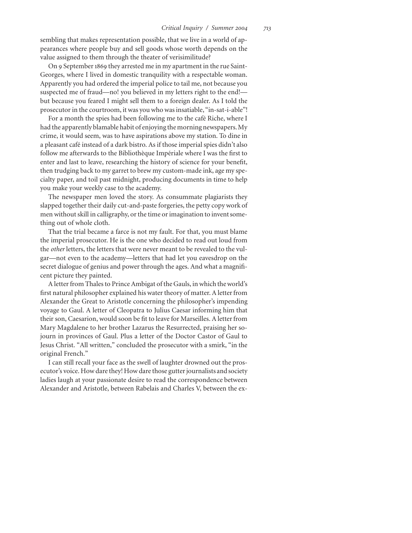sembling that makes representation possible, that we live in a world of appearances where people buy and sell goods whose worth depends on the value assigned to them through the theater of verisimilitude?

On 9 September 1869 they arrested me in my apartment in the rue Saint-Georges, where I lived in domestic tranquility with a respectable woman. Apparently you had ordered the imperial police to tail me, not because you suspected me of fraud—no! you believed in my letters right to the end! but because you feared I might sell them to a foreign dealer. As I told the prosecutor in the courtroom, it was you who was insatiable, "in-sat-i-able"!

For a month the spies had been following me to the café Riche, where I had the apparently blamable habit of enjoying the morning newspapers.My crime, it would seem, was to have aspirations above my station. To dine in a pleasant café instead of a dark bistro. As if those imperial spies didn't also follow me afterwards to the Bibliothèque Impériale where I was the first to enter and last to leave, researching the history of science for your benefit, then trudging back to my garret to brew my custom-made ink, age my specialty paper, and toil past midnight, producing documents in time to help you make your weekly case to the academy.

The newspaper men loved the story. As consummate plagiarists they slapped together their daily cut-and-paste forgeries, the petty copy work of men without skill in calligraphy, or the time or imagination to invent something out of whole cloth.

That the trial became a farce is not my fault. For that, you must blame the imperial prosecutor. He is the one who decided to read out loud from the *other* letters, the letters that were never meant to be revealed to the vulgar—not even to the academy—letters that had let you eavesdrop on the secret dialogue of genius and power through the ages. And what a magnificent picture they painted.

A letter from Thales to Prince Ambigat of the Gauls, in which the world's first natural philosopher explained his water theory of matter. A letter from Alexander the Great to Aristotle concerning the philosopher's impending voyage to Gaul. A letter of Cleopatra to Julius Caesar informing him that their son, Caesarion, would soon be fit to leave for Marseilles. A letter from Mary Magdalene to her brother Lazarus the Resurrected, praising her sojourn in provinces of Gaul. Plus a letter of the Doctor Castor of Gaul to Jesus Christ. "All written," concluded the prosecutor with a smirk, "in the original French."

I can still recall your face as the swell of laughter drowned out the prosecutor's voice. How dare they! How dare those gutter journalists and society ladies laugh at your passionate desire to read the correspondence between Alexander and Aristotle, between Rabelais and Charles V, between the ex-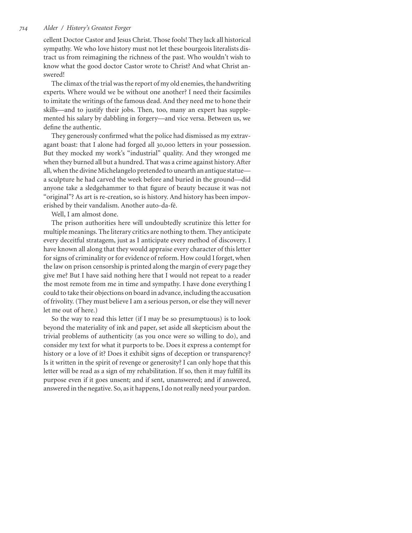cellent Doctor Castor and Jesus Christ. Those fools! They lack all historical sympathy. We who love history must not let these bourgeois literalists distract us from reimagining the richness of the past. Who wouldn't wish to know what the good doctor Castor wrote to Christ? And what Christ answered!

The climax of the trial was the report of my old enemies, the handwriting experts. Where would we be without one another? I need their facsimiles to imitate the writings of the famous dead. And they need me to hone their skills—and to justify their jobs. Then, too, many an expert has supplemented his salary by dabbling in forgery—and vice versa. Between us, we define the authentic.

They generously confirmed what the police had dismissed as my extravagant boast: that I alone had forged all 30,000 letters in your possession. But they mocked my work's "industrial" quality. And they wronged me when they burned all but a hundred. That was a crime against history. After all, when the divine Michelangelo pretended to unearth an antique statue a sculpture he had carved the week before and buried in the ground—did anyone take a sledgehammer to that figure of beauty because it was not "original"? As art is re-creation, so is history. And history has been impoverished by their vandalism. Another auto-da-fé.

Well, I am almost done.

The prison authorities here will undoubtedly scrutinize this letter for multiple meanings. The literary critics are nothing to them. They anticipate every deceitful stratagem, just as I anticipate every method of discovery. I have known all along that they would appraise every character of this letter for signs of criminality or for evidence of reform. How could I forget, when the law on prison censorship is printed along the margin of every page they give me? But I have said nothing here that I would not repeat to a reader the most remote from me in time and sympathy. I have done everything I could to take their objections on board in advance, including the accusation of frivolity. (They must believe I am a serious person, or else they will never let me out of here.)

So the way to read this letter (if I may be so presumptuous) is to look beyond the materiality of ink and paper, set aside all skepticism about the trivial problems of authenticity (as you once were so willing to do), and consider my text for what it purports to be. Does it express a contempt for history or a love of it? Does it exhibit signs of deception or transparency? Is it written in the spirit of revenge or generosity? I can only hope that this letter will be read as a sign of my rehabilitation. If so, then it may fulfill its purpose even if it goes unsent; and if sent, unanswered; and if answered, answered in the negative. So, as it happens, I do not really need your pardon.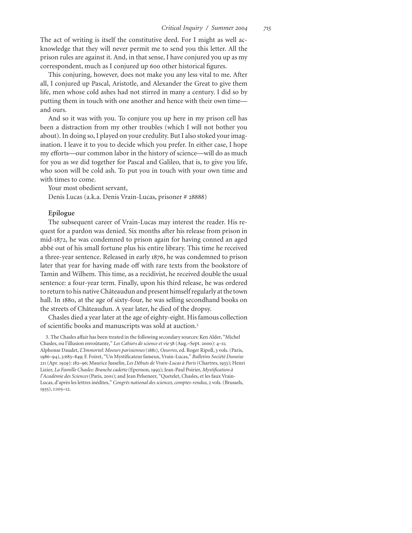The act of writing is itself the constitutive deed. For I might as well acknowledge that they will never permit me to send you this letter. All the prison rules are against it. And, in that sense, I have conjured you up as my correspondent, much as I conjured up 600 other historical figures.

This conjuring, however, does not make you any less vital to me. After all, I conjured up Pascal, Aristotle, and Alexander the Great to give them life, men whose cold ashes had not stirred in many a century. I did so by putting them in touch with one another and hence with their own time and ours.

And so it was with you. To conjure you up here in my prison cell has been a distraction from my other troubles (which I will not bother you about). In doing so, I played on your credulity. But I also stoked your imagination. I leave it to you to decide which you prefer. In either case, I hope my efforts—our common labor in the history of science—will do as much for you as we did together for Pascal and Galileo, that is, to give you life, who soon will be cold ash. To put you in touch with your own time and with times to come.

Your most obedient servant,

Denis Lucas (a.k.a. Denis Vrain-Lucas, prisoner # 28888)

#### **Epilogue**

The subsequent career of Vrain-Lucas may interest the reader. His request for a pardon was denied. Six months after his release from prison in mid-1872, he was condemned to prison again for having conned an aged abbé out of his small fortune plus his entire library. This time he received a three-year sentence. Released in early 1876, he was condemned to prison later that year for having made off with rare texts from the bookstore of Tamin and Wilhem. This time, as a recidivist, he received double the usual sentence: a four-year term. Finally, upon his third release, he was ordered to return to his native Châteaudun and present himself regularly at the town hall. In 1880, at the age of sixty-four, he was selling secondhand books on the streets of Châteaudun. A year later, he died of the dropsy.

Chasles died a year later at the age of eighty-eight. His famous collection of scientific books and manuscripts was sold at auction.3

3. The Chasles affair has been treated in the following secondary sources: Ken Alder, "Michel Chasles, ou l'illusion envoûtante," *Les Cahiers de science et vie* 58 (Aug.–Sept. 2000): 4-11; Alphonse Daudet, *L'Immortel: Moeursparisiennes*(1881), *Oeuvres,* ed. Roger Ripoll, 3 vols. (Paris, 1986-94), 3:683-849; F. Foiret, "Un Mystificateur fameux, Vrain-Lucas," *Bulletins Société Dunoise* 211 (Apr. 1929): 182–96; Maurice Jusselin, *LesDe´butsde Vrain-Lucasa` Paris*(Chartres, 1933); Henri Lizier, *La Famille Chasles: Branche cadette*(Epernon, 1993); Jean-Paul Poirier, *Mystification a`* l'Académie des Sciences (Paris, 2001); and Jean Pelseneer, "Quetelet, Chasles, et les faux Vrain-Lucas, d'après les lettres inédites," *Congrès national des sciences, comptes-rendus*, 2 vols. (Brussels, 1935), 1:105–12.